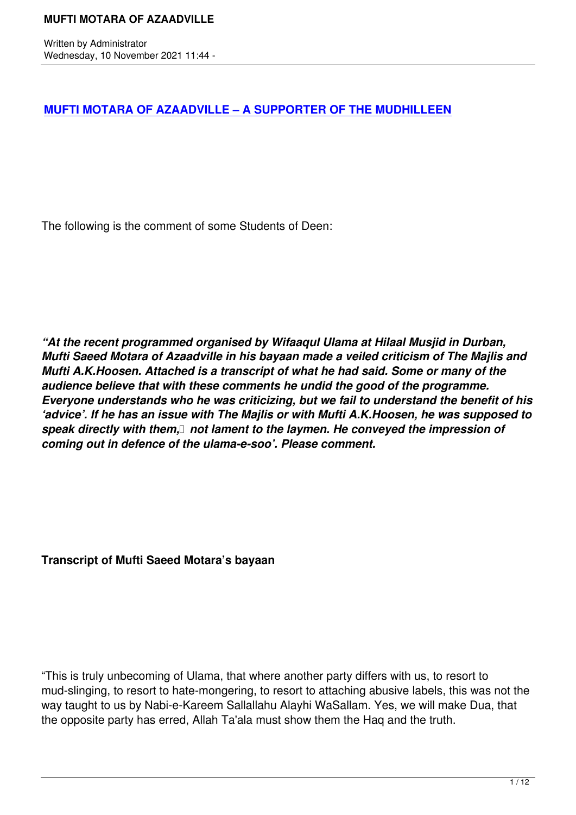# **MUFTI MOTARA OF AZAADVILLE – A SUPPORTER OF THE MUDHILLEEN**

The following is the comment of some Students of Deen:

*"At the recent programmed organised by Wifaaqul Ulama at Hilaal Musjid in Durban, Mufti Saeed Motara of Azaadville in his bayaan made a veiled criticism of The Majlis and Mufti A.K.Hoosen. Attached is a transcript of what he had said. Some or many of the audience believe that with these comments he undid the good of the programme. Everyone understands who he was criticizing, but we fail to understand the benefit of his 'advice'. If he has an issue with The Majlis or with Mufti A.K.Hoosen, he was supposed to speak directly with them, not lament to the laymen. He conveyed the impression of coming out in defence of the ulama-e-soo'. Please comment.*

**Transcript of Mufti Saeed Motara's bayaan**

"This is truly unbecoming of Ulama, that where another party differs with us, to resort to mud-slinging, to resort to hate-mongering, to resort to attaching abusive labels, this was not the way taught to us by Nabi-e-Kareem Sallallahu Alayhi WaSallam. Yes, we will make Dua, that the opposite party has erred, Allah Ta'ala must show them the Haq and the truth.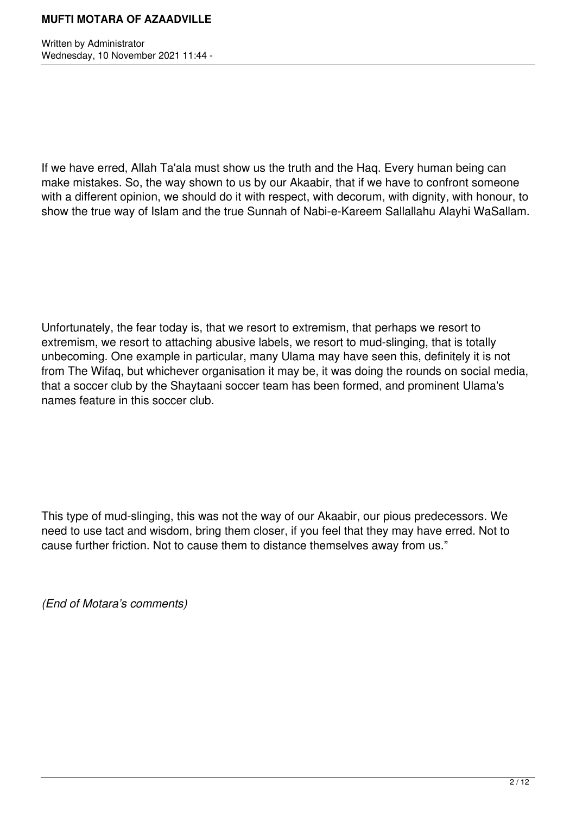Written by Administrator Wednesday, 10 November 2021 11:44 -

If we have erred, Allah Ta'ala must show us the truth and the Haq. Every human being can make mistakes. So, the way shown to us by our Akaabir, that if we have to confront someone with a different opinion, we should do it with respect, with decorum, with dignity, with honour, to show the true way of Islam and the true Sunnah of Nabi-e-Kareem Sallallahu Alayhi WaSallam.

Unfortunately, the fear today is, that we resort to extremism, that perhaps we resort to extremism, we resort to attaching abusive labels, we resort to mud-slinging, that is totally unbecoming. One example in particular, many Ulama may have seen this, definitely it is not from The Wifaq, but whichever organisation it may be, it was doing the rounds on social media, that a soccer club by the Shaytaani soccer team has been formed, and prominent Ulama's names feature in this soccer club.

This type of mud-slinging, this was not the way of our Akaabir, our pious predecessors. We need to use tact and wisdom, bring them closer, if you feel that they may have erred. Not to cause further friction. Not to cause them to distance themselves away from us."

*(End of Motara's comments)*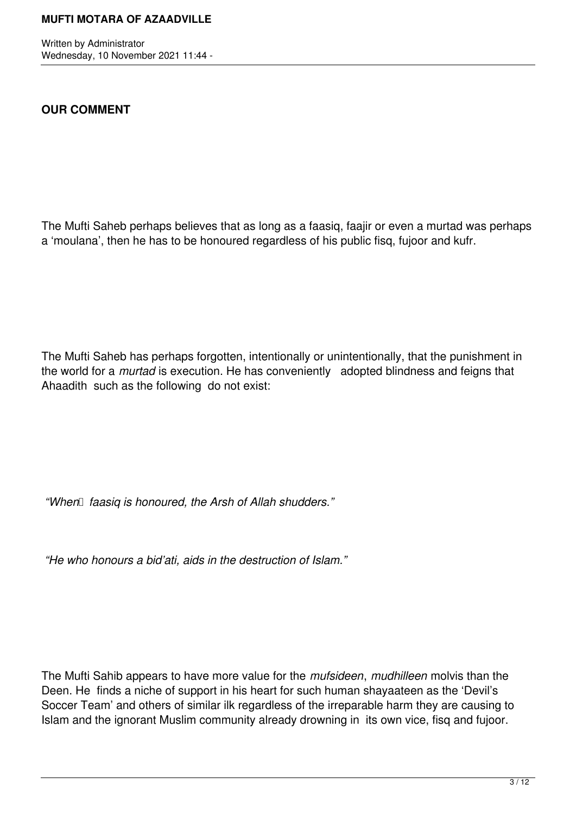Written by Administrator Wednesday, 10 November 2021 11:44 -

## **OUR COMMENT**

The Mufti Saheb perhaps believes that as long as a faasiq, faajir or even a murtad was perhaps a 'moulana', then he has to be honoured regardless of his public fisq, fujoor and kufr.

The Mufti Saheb has perhaps forgotten, intentionally or unintentionally, that the punishment in the world for a *murtad* is execution. He has conveniently adopted blindness and feigns that Ahaadith such as the following do not exist:

*"When faasiq is honoured, the Arsh of Allah shudders."* 

 *"He who honours a bid'ati, aids in the destruction of Islam."*

The Mufti Sahib appears to have more value for the *mufsideen*, *mudhilleen* molvis than the Deen. He finds a niche of support in his heart for such human shayaateen as the 'Devil's Soccer Team' and others of similar ilk regardless of the irreparable harm they are causing to Islam and the ignorant Muslim community already drowning in its own vice, fisq and fujoor.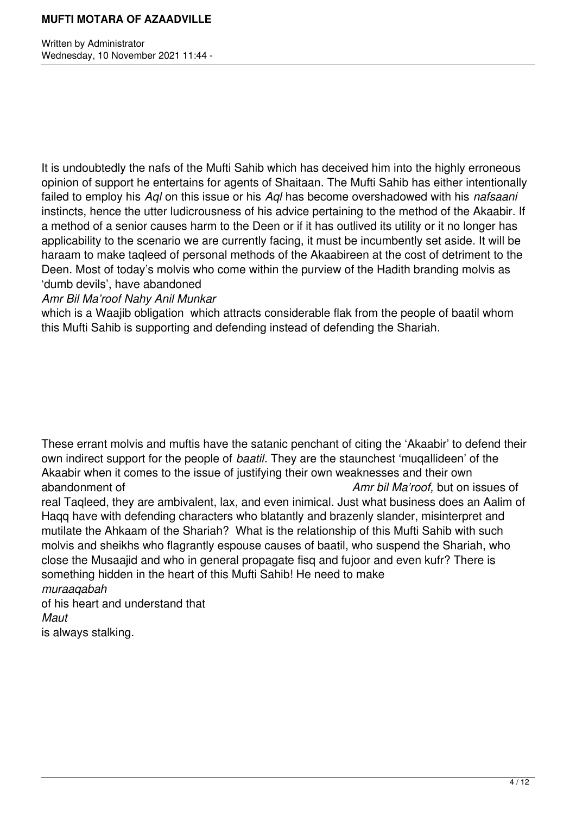Written by Administrator Wednesday, 10 November 2021 11:44 -

It is undoubtedly the nafs of the Mufti Sahib which has deceived him into the highly erroneous opinion of support he entertains for agents of Shaitaan. The Mufti Sahib has either intentionally failed to employ his *Aql* on this issue or his *Aql* has become overshadowed with his *nafsaani* instincts, hence the utter ludicrousness of his advice pertaining to the method of the Akaabir. If a method of a senior causes harm to the Deen or if it has outlived its utility or it no longer has applicability to the scenario we are currently facing, it must be incumbently set aside. It will be haraam to make taqleed of personal methods of the Akaabireen at the cost of detriment to the Deen. Most of today's molvis who come within the purview of the Hadith branding molvis as 'dumb devils', have abandoned

*Amr Bil Ma'roof Nahy Anil Munkar*

which is a Waajib obligation which attracts considerable flak from the people of baatil whom this Mufti Sahib is supporting and defending instead of defending the Shariah.

These errant molvis and muftis have the satanic penchant of citing the 'Akaabir' to defend their own indirect support for the people of *baatil*. They are the staunchest 'muqallideen' of the Akaabir when it comes to the issue of justifying their own weaknesses and their own abandonment of *Amr bil Ma'roof,* but on issues of real Taqleed, they are ambivalent, lax, and even inimical. Just what business does an Aalim of Haqq have with defending characters who blatantly and brazenly slander, misinterpret and mutilate the Ahkaam of the Shariah? What is the relationship of this Mufti Sahib with such molvis and sheikhs who flagrantly espouse causes of baatil, who suspend the Shariah, who close the Musaajid and who in general propagate fisq and fujoor and even kufr? There is something hidden in the heart of this Mufti Sahib! He need to make *muraaqabah* of his heart and understand that

*Maut*

is always stalking.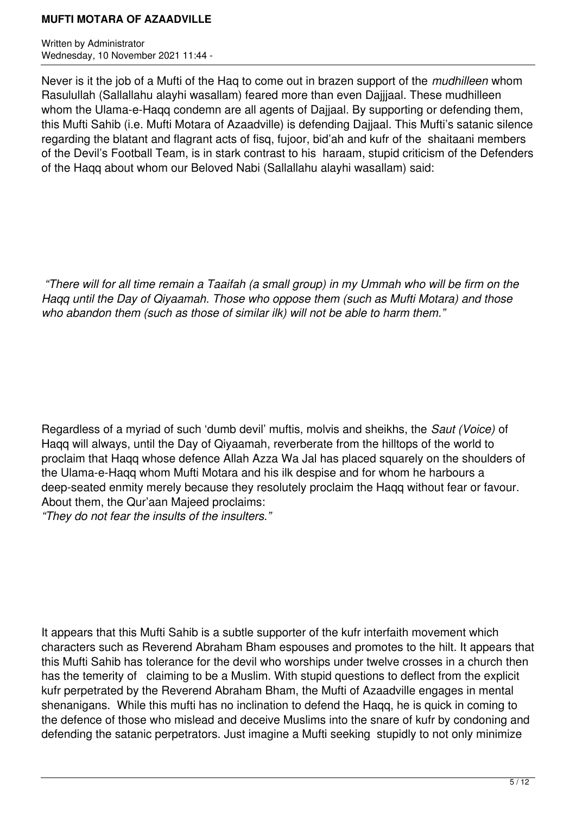Written by Administrator Wednesday, 10 November 2021 11:44 -

Never is it the job of a Mufti of the Haq to come out in brazen support of the *mudhilleen* whom Rasulullah (Sallallahu alayhi wasallam) feared more than even Dajjjaal. These mudhilleen whom the Ulama-e-Haqq condemn are all agents of Dajjaal. By supporting or defending them, this Mufti Sahib (i.e. Mufti Motara of Azaadville) is defending Dajjaal. This Mufti's satanic silence regarding the blatant and flagrant acts of fisq, fujoor, bid'ah and kufr of the shaitaani members of the Devil's Football Team, is in stark contrast to his haraam, stupid criticism of the Defenders of the Haqq about whom our Beloved Nabi (Sallallahu alayhi wasallam) said:

 *"There will for all time remain a Taaifah (a small group) in my Ummah who will be firm on the Haqq until the Day of Qiyaamah. Those who oppose them (such as Mufti Motara) and those who abandon them (such as those of similar ilk) will not be able to harm them."*

Regardless of a myriad of such 'dumb devil' muftis, molvis and sheikhs, the *Saut (Voice)* of Haqq will always, until the Day of Qiyaamah, reverberate from the hilltops of the world to proclaim that Haqq whose defence Allah Azza Wa Jal has placed squarely on the shoulders of the Ulama-e-Haqq whom Mufti Motara and his ilk despise and for whom he harbours a deep-seated enmity merely because they resolutely proclaim the Haqq without fear or favour. About them, the Qur'aan Majeed proclaims:

*"They do not fear the insults of the insulters."*

It appears that this Mufti Sahib is a subtle supporter of the kufr interfaith movement which characters such as Reverend Abraham Bham espouses and promotes to the hilt. It appears that this Mufti Sahib has tolerance for the devil who worships under twelve crosses in a church then has the temerity of claiming to be a Muslim. With stupid questions to deflect from the explicit kufr perpetrated by the Reverend Abraham Bham, the Mufti of Azaadville engages in mental shenanigans. While this mufti has no inclination to defend the Hagq, he is quick in coming to the defence of those who mislead and deceive Muslims into the snare of kufr by condoning and defending the satanic perpetrators. Just imagine a Mufti seeking stupidly to not only minimize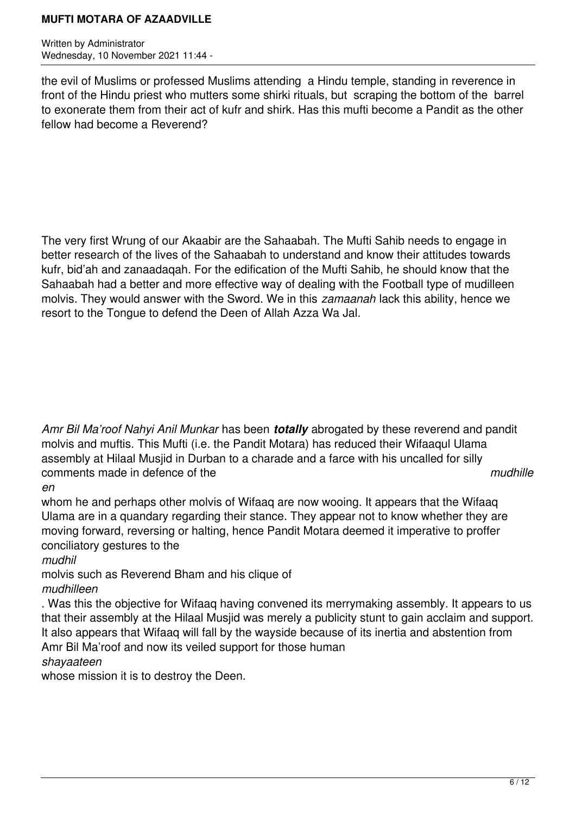Written by Administrator Wednesday, 10 November 2021 11:44 -

the evil of Muslims or professed Muslims attending a Hindu temple, standing in reverence in front of the Hindu priest who mutters some shirki rituals, but scraping the bottom of the barrel to exonerate them from their act of kufr and shirk. Has this mufti become a Pandit as the other fellow had become a Reverend?

The very first Wrung of our Akaabir are the Sahaabah. The Mufti Sahib needs to engage in better research of the lives of the Sahaabah to understand and know their attitudes towards kufr, bid'ah and zanaadaqah. For the edification of the Mufti Sahib, he should know that the Sahaabah had a better and more effective way of dealing with the Football type of mudilleen molvis. They would answer with the Sword. We in this *zamaanah* lack this ability, hence we resort to the Tongue to defend the Deen of Allah Azza Wa Jal.

*Amr Bil Ma'roof Nahyi Anil Munkar* has been *totally* abrogated by these reverend and pandit molvis and muftis. This Mufti (i.e. the Pandit Motara) has reduced their Wifaaqul Ulama assembly at Hilaal Musjid in Durban to a charade and a farce with his uncalled for silly comments made in defence of the *mudhille*

*en*

whom he and perhaps other molvis of Wifaaq are now wooing. It appears that the Wifaaq Ulama are in a quandary regarding their stance. They appear not to know whether they are moving forward, reversing or halting, hence Pandit Motara deemed it imperative to proffer conciliatory gestures to the

*mudhil*

molvis such as Reverend Bham and his clique of *mudhilleen*

. Was this the objective for Wifaaq having convened its merrymaking assembly. It appears to us that their assembly at the Hilaal Musjid was merely a publicity stunt to gain acclaim and support. It also appears that Wifaaq will fall by the wayside because of its inertia and abstention from Amr Bil Ma'roof and now its veiled support for those human

*shayaateen*

whose mission it is to destroy the Deen.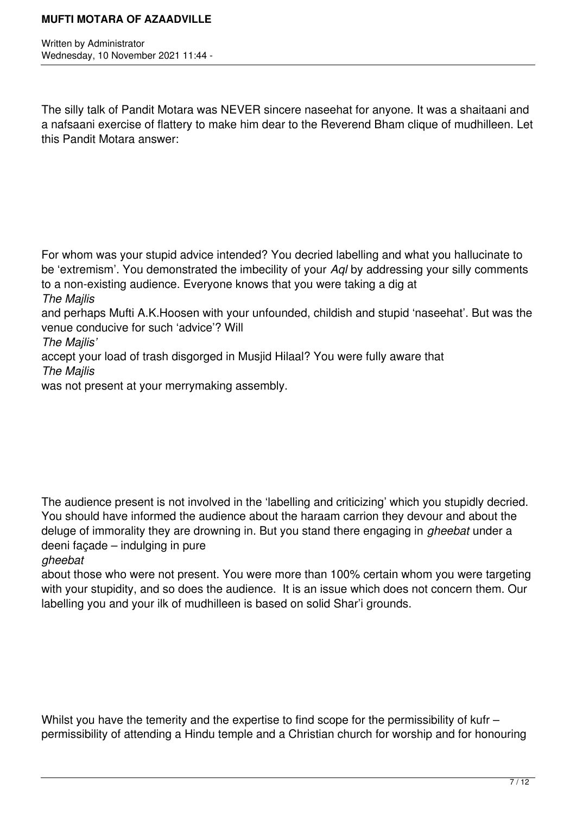Written by Administrator Wednesday, 10 November 2021 11:44 -

The silly talk of Pandit Motara was NEVER sincere naseehat for anyone. It was a shaitaani and a nafsaani exercise of flattery to make him dear to the Reverend Bham clique of mudhilleen. Let this Pandit Motara answer:

For whom was your stupid advice intended? You decried labelling and what you hallucinate to be 'extremism'. You demonstrated the imbecility of your *Aql* by addressing your silly comments to a non-existing audience. Everyone knows that you were taking a dig at

*The Majlis*

and perhaps Mufti A.K.Hoosen with your unfounded, childish and stupid 'naseehat'. But was the venue conducive for such 'advice'? Will

*The Majlis'*

accept your load of trash disgorged in Musjid Hilaal? You were fully aware that *The Majlis*

was not present at your merrymaking assembly.

The audience present is not involved in the 'labelling and criticizing' which you stupidly decried. You should have informed the audience about the haraam carrion they devour and about the deluge of immorality they are drowning in. But you stand there engaging in *gheebat* under a deeni façade – indulging in pure

*gheebat*

about those who were not present. You were more than 100% certain whom you were targeting with your stupidity, and so does the audience. It is an issue which does not concern them. Our labelling you and your ilk of mudhilleen is based on solid Shar'i grounds.

Whilst you have the temerity and the expertise to find scope for the permissibility of kufr – permissibility of attending a Hindu temple and a Christian church for worship and for honouring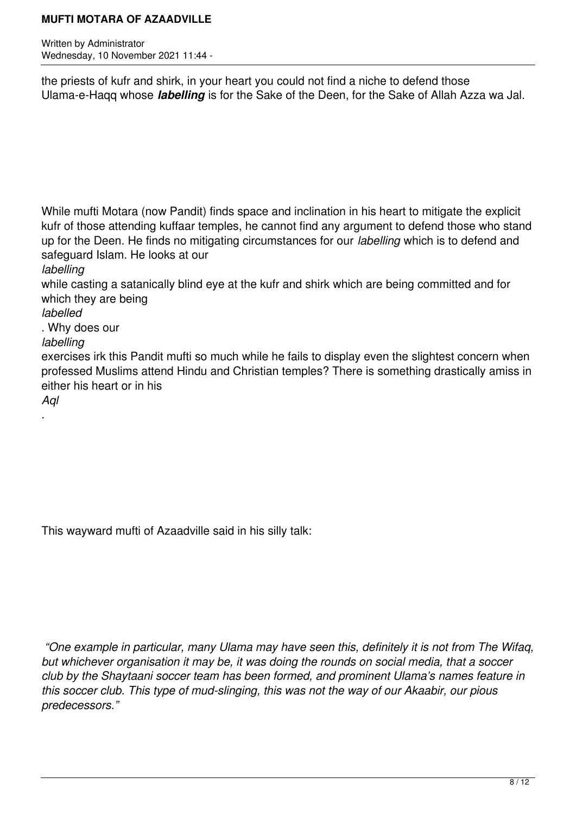Written by Administrator Wednesday, 10 November 2021 11:44 -

the priests of kufr and shirk, in your heart you could not find a niche to defend those Ulama-e-Haqq whose *labelling* is for the Sake of the Deen, for the Sake of Allah Azza wa Jal.

While mufti Motara (now Pandit) finds space and inclination in his heart to mitigate the explicit kufr of those attending kuffaar temples, he cannot find any argument to defend those who stand up for the Deen. He finds no mitigating circumstances for our *labelling* which is to defend and safeguard Islam. He looks at our *labelling* 

while casting a satanically blind eye at the kufr and shirk which are being committed and for which they are being

*labelled*

. Why does our

*labelling* 

exercises irk this Pandit mufti so much while he fails to display even the slightest concern when professed Muslims attend Hindu and Christian temples? There is something drastically amiss in either his heart or in his

*Aql*

.

This wayward mufti of Azaadville said in his silly talk:

 *"One example in particular, many Ulama may have seen this, definitely it is not from The Wifaq, but whichever organisation it may be, it was doing the rounds on social media, that a soccer club by the Shaytaani soccer team has been formed, and prominent Ulama's names feature in this soccer club. This type of mud-slinging, this was not the way of our Akaabir, our pious predecessors."*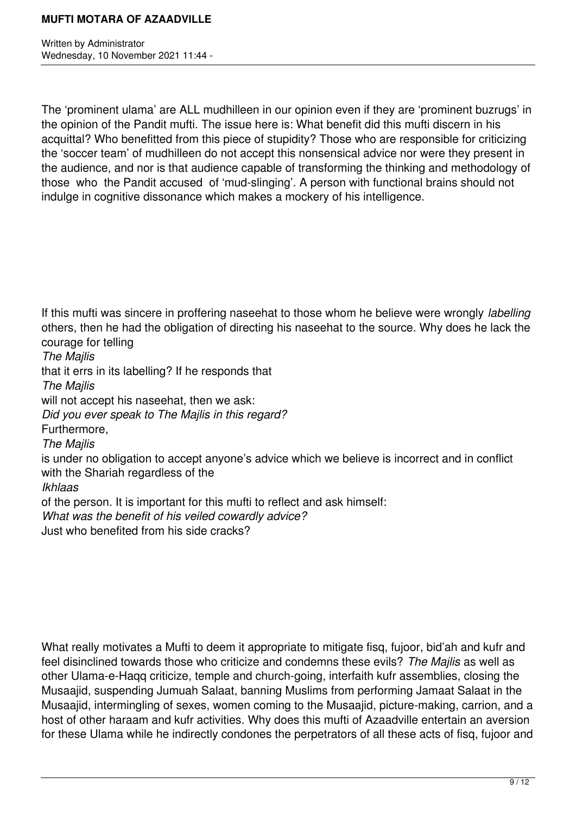Written by Administrator Wednesday, 10 November 2021 11:44 -

The 'prominent ulama' are ALL mudhilleen in our opinion even if they are 'prominent buzrugs' in the opinion of the Pandit mufti. The issue here is: What benefit did this mufti discern in his acquittal? Who benefitted from this piece of stupidity? Those who are responsible for criticizing the 'soccer team' of mudhilleen do not accept this nonsensical advice nor were they present in the audience, and nor is that audience capable of transforming the thinking and methodology of those who the Pandit accused of 'mud-slinging'. A person with functional brains should not indulge in cognitive dissonance which makes a mockery of his intelligence.

If this mufti was sincere in proffering naseehat to those whom he believe were wrongly *labelling*  others, then he had the obligation of directing his naseehat to the source. Why does he lack the courage for telling *The Majlis* that it errs in its labelling? If he responds that *The Majlis* will not accept his naseehat, then we ask: *Did you ever speak to The Majlis in this regard?*  Furthermore, *The Majlis*  is under no obligation to accept anyone's advice which we believe is incorrect and in conflict with the Shariah regardless of the *Ikhlaas* of the person. It is important for this mufti to reflect and ask himself: *What was the benefit of his veiled cowardly advice?* Just who benefited from his side cracks?

What really motivates a Mufti to deem it appropriate to mitigate fisq, fujoor, bid'ah and kufr and feel disinclined towards those who criticize and condemns these evils? *The Majlis* as well as other Ulama-e-Haqq criticize, temple and church-going, interfaith kufr assemblies, closing the Musaajid, suspending Jumuah Salaat, banning Muslims from performing Jamaat Salaat in the Musaajid, intermingling of sexes, women coming to the Musaajid, picture-making, carrion, and a host of other haraam and kufr activities. Why does this mufti of Azaadville entertain an aversion for these Ulama while he indirectly condones the perpetrators of all these acts of fisq, fujoor and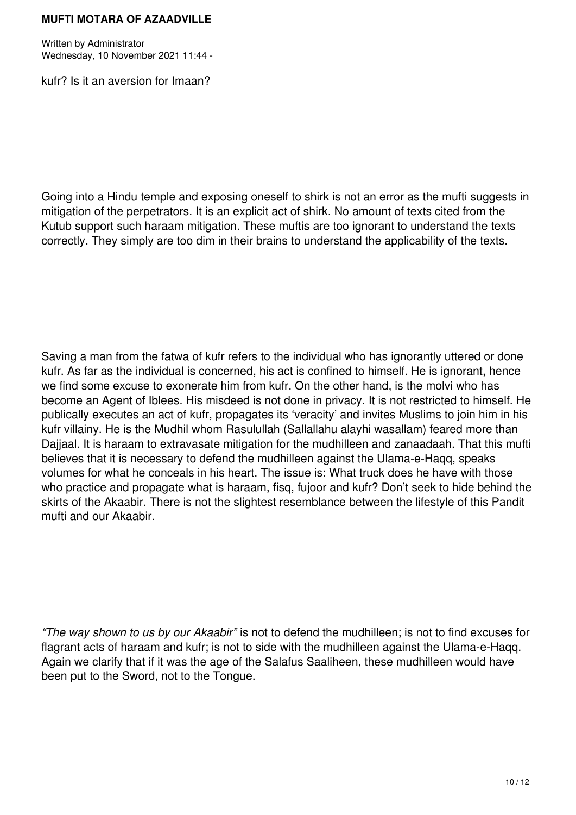Written by Administrator Wednesday, 10 November 2021 11:44 -

kufr? Is it an aversion for Imaan?

Going into a Hindu temple and exposing oneself to shirk is not an error as the mufti suggests in mitigation of the perpetrators. It is an explicit act of shirk. No amount of texts cited from the Kutub support such haraam mitigation. These muftis are too ignorant to understand the texts correctly. They simply are too dim in their brains to understand the applicability of the texts.

Saving a man from the fatwa of kufr refers to the individual who has ignorantly uttered or done kufr. As far as the individual is concerned, his act is confined to himself. He is ignorant, hence we find some excuse to exonerate him from kufr. On the other hand, is the molvi who has become an Agent of Iblees. His misdeed is not done in privacy. It is not restricted to himself. He publically executes an act of kufr, propagates its 'veracity' and invites Muslims to join him in his kufr villainy. He is the Mudhil whom Rasulullah (Sallallahu alayhi wasallam) feared more than Dajjaal. It is haraam to extravasate mitigation for the mudhilleen and zanaadaah. That this mufti believes that it is necessary to defend the mudhilleen against the Ulama-e-Haqq, speaks volumes for what he conceals in his heart. The issue is: What truck does he have with those who practice and propagate what is haraam, fisq, fujoor and kufr? Don't seek to hide behind the skirts of the Akaabir. There is not the slightest resemblance between the lifestyle of this Pandit mufti and our Akaabir.

*"The way shown to us by our Akaabir"* is not to defend the mudhilleen; is not to find excuses for flagrant acts of haraam and kufr; is not to side with the mudhilleen against the Ulama-e-Haqq. Again we clarify that if it was the age of the Salafus Saaliheen, these mudhilleen would have been put to the Sword, not to the Tongue.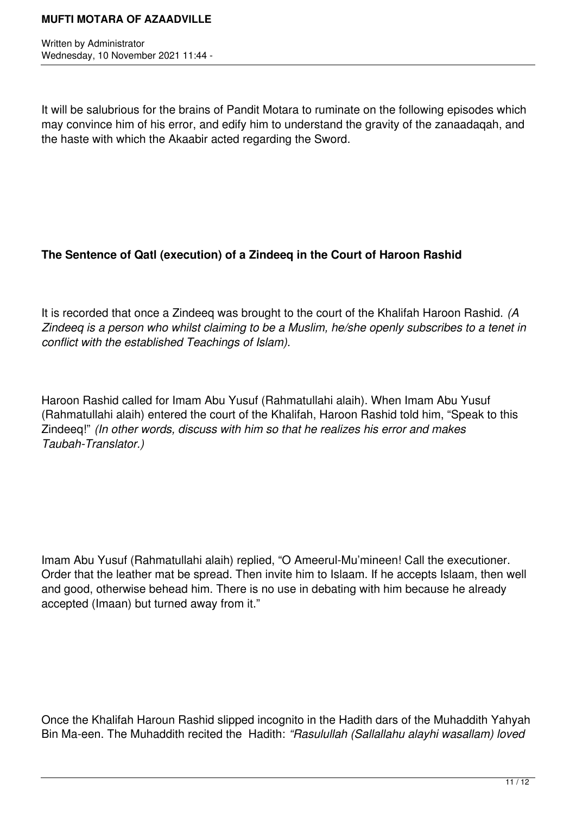Written by Administrator Wednesday, 10 November 2021 11:44 -

It will be salubrious for the brains of Pandit Motara to ruminate on the following episodes which may convince him of his error, and edify him to understand the gravity of the zanaadaqah, and the haste with which the Akaabir acted regarding the Sword.

## **The Sentence of Qatl (execution) of a Zindeeq in the Court of Haroon Rashid**

It is recorded that once a Zindeeq was brought to the court of the Khalifah Haroon Rashid. *(A Zindeeq is a person who whilst claiming to be a Muslim, he/she openly subscribes to a tenet in conflict with the established Teachings of Islam).* 

Haroon Rashid called for Imam Abu Yusuf (Rahmatullahi alaih). When Imam Abu Yusuf (Rahmatullahi alaih) entered the court of the Khalifah, Haroon Rashid told him, "Speak to this Zindeeq!" *(In other words, discuss with him so that he realizes his error and makes Taubah-Translator.)*

Imam Abu Yusuf (Rahmatullahi alaih) replied, "O Ameerul-Mu'mineen! Call the executioner. Order that the leather mat be spread. Then invite him to Islaam. If he accepts Islaam, then well and good, otherwise behead him. There is no use in debating with him because he already accepted (Imaan) but turned away from it."

Once the Khalifah Haroun Rashid slipped incognito in the Hadith dars of the Muhaddith Yahyah Bin Ma-een. The Muhaddith recited the Hadith: *"Rasulullah (Sallallahu alayhi wasallam) loved*